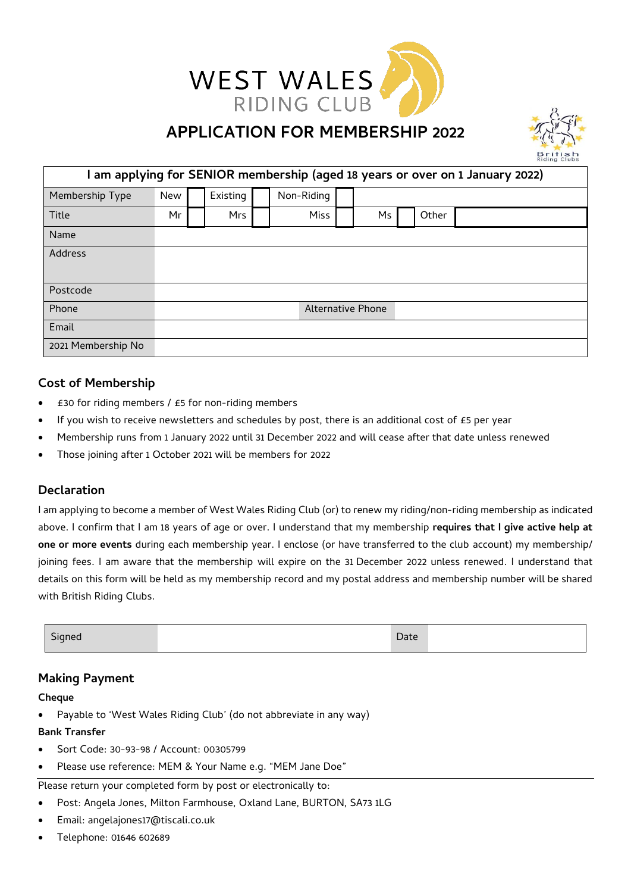

# **APPLICATION FOR MEMBERSHIP 2022**



| am applying for SENIOR membership (aged 18 years or over on 1 January 2022) |                   |            |  |            |  |    |  |       |  |  |  |
|-----------------------------------------------------------------------------|-------------------|------------|--|------------|--|----|--|-------|--|--|--|
| Membership Type                                                             | <b>New</b>        | Existing   |  | Non-Riding |  |    |  |       |  |  |  |
| <b>Title</b>                                                                | Mr                | <b>Mrs</b> |  | Miss       |  | Ms |  | Other |  |  |  |
| Name                                                                        |                   |            |  |            |  |    |  |       |  |  |  |
| Address                                                                     |                   |            |  |            |  |    |  |       |  |  |  |
|                                                                             |                   |            |  |            |  |    |  |       |  |  |  |
| Postcode                                                                    |                   |            |  |            |  |    |  |       |  |  |  |
| Phone                                                                       | Alternative Phone |            |  |            |  |    |  |       |  |  |  |
| Email                                                                       |                   |            |  |            |  |    |  |       |  |  |  |
| 2021 Membership No                                                          |                   |            |  |            |  |    |  |       |  |  |  |

# **Cost of Membership**

- £30 for riding members / £5 for non-riding members
- If you wish to receive newsletters and schedules by post, there is an additional cost of £5 per year
- Membership runs from 1 January 2022 until 31 December 2022 and will cease after that date unless renewed
- Those joining after 1 October 2021 will be members for 2022

### **Declaration**

I am applying to become a member of West Wales Riding Club (or) to renew my riding/non-riding membership as indicated above. I confirm that I am 18 years of age or over. I understand that my membership **requires that I give active help at one or more events** during each membership year. I enclose (or have transferred to the club account) my membership/ joining fees. I am aware that the membership will expire on the 31 December 2022 unless renewed. I understand that details on this form will be held as my membership record and my postal address and membership number will be shared with British Riding Clubs.

| - -<br>sianea<br>$\tilde{\phantom{a}}$ | Date |  |
|----------------------------------------|------|--|
|                                        |      |  |

### **Making Payment**

**Cheque**

Payable to 'West Wales Riding Club' (do not abbreviate in any way)

**Bank Transfer**

- Sort Code: 30-93-98 / Account: 00305799
- Please use reference: MEM & Your Name e.g. "MEM Jane Doe"

Please return your completed form by post or electronically to:

- Post: Angela Jones, Milton Farmhouse, Oxland Lane, BURTON, SA73 1LG
- Email: angelajones17@tiscali.co.uk
- Telephone: 01646 602689